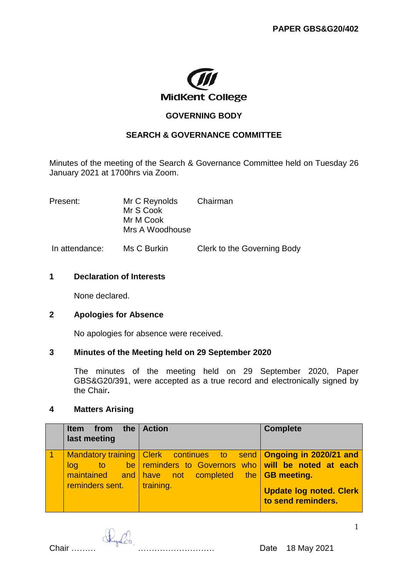

## **GOVERNING BODY**

# **SEARCH & GOVERNANCE COMMITTEE**

Minutes of the meeting of the Search & Governance Committee held on Tuesday 26 January 2021 at 1700hrs via Zoom.

| Present: | Mr C Reynolds   | Chairman |  |
|----------|-----------------|----------|--|
|          | Mr S Cook       |          |  |
|          | Mr M Cook       |          |  |
|          | Mrs A Woodhouse |          |  |
|          |                 |          |  |

In attendance: Ms C Burkin Clerk to the Governing Body

## **1 Declaration of Interests**

None declared.

### **2 Apologies for Absence**

No apologies for absence were received.

### **3 Minutes of the Meeting held on 29 September 2020**

The minutes of the meeting held on 29 September 2020, Paper GBS&G20/391, were accepted as a true record and electronically signed by the Chair**.** 

## **4 Matters Arising**

| Item from the Action<br>last meeting |                                                                                                                                                                                         | <b>Complete</b>                                      |
|--------------------------------------|-----------------------------------------------------------------------------------------------------------------------------------------------------------------------------------------|------------------------------------------------------|
| log<br>$reminders sent.$   training. | Mandatory training   Clerk continues to send   Ongoing in 2020/21 and<br>a to the reminders to Governors who will be noted at each<br>maintained and have not completed the GB meeting. | <b>Update log noted. Clerk</b><br>to send reminders. |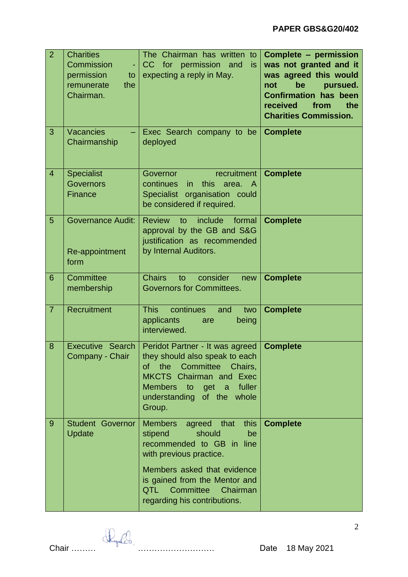| $\overline{2}$ | <b>Charities</b><br>Commission<br>permission<br>to<br>remunerate<br>the<br>Chairman. | The Chairman has written to<br>CC for permission and<br>is.<br>expecting a reply in May.                                                                                                                                                                    | Complete - permission<br>was not granted and it<br>was agreed this would<br>be<br>not<br>pursued.<br><b>Confirmation has been</b><br>received<br>from<br>the<br><b>Charities Commission.</b> |
|----------------|--------------------------------------------------------------------------------------|-------------------------------------------------------------------------------------------------------------------------------------------------------------------------------------------------------------------------------------------------------------|----------------------------------------------------------------------------------------------------------------------------------------------------------------------------------------------|
| 3              | <b>Vacancies</b><br>Chairmanship                                                     | Exec Search company to be<br>deployed                                                                                                                                                                                                                       | <b>Complete</b>                                                                                                                                                                              |
| $\overline{4}$ | <b>Specialist</b><br><b>Governors</b><br><b>Finance</b>                              | Governor<br>recruitment<br>continues<br>this<br>area.<br><i>in</i><br>A<br>Specialist organisation could<br>be considered if required.                                                                                                                      | <b>Complete</b>                                                                                                                                                                              |
| 5              | <b>Governance Audit:</b><br>Re-appointment<br>form                                   | <b>Review</b><br>include<br>formal<br>to<br>approval by the GB and S&G<br>justification as recommended<br>by Internal Auditors.                                                                                                                             | <b>Complete</b>                                                                                                                                                                              |
| 6              | Committee<br>membership                                                              | <b>Chairs</b><br>consider<br>to<br>new<br><b>Governors for Committees.</b>                                                                                                                                                                                  | <b>Complete</b>                                                                                                                                                                              |
| $\overline{7}$ | Recruitment                                                                          | continues<br><b>This</b><br>and<br>two<br>applicants<br>being<br>are<br>interviewed.                                                                                                                                                                        | <b>Complete</b>                                                                                                                                                                              |
| 8              | <b>Executive Search</b><br>Company - Chair                                           | Peridot Partner - It was agreed<br>they should also speak to each<br>the<br>Committee<br>οf<br>Chairs,<br><b>MKCTS</b> Chairman and Exec<br><b>Members</b><br>fuller<br>to<br>get a<br>understanding of the whole<br>Group.                                 | <b>Complete</b>                                                                                                                                                                              |
| 9              | <b>Student Governor</b><br>Update                                                    | <b>Members</b><br>this<br>agreed<br>that<br>should<br>stipend<br>be<br>recommended to GB in line<br>with previous practice.<br>Members asked that evidence<br>is gained from the Mentor and<br>Committee<br>QTL<br>Chairman<br>regarding his contributions. | <b>Complete</b>                                                                                                                                                                              |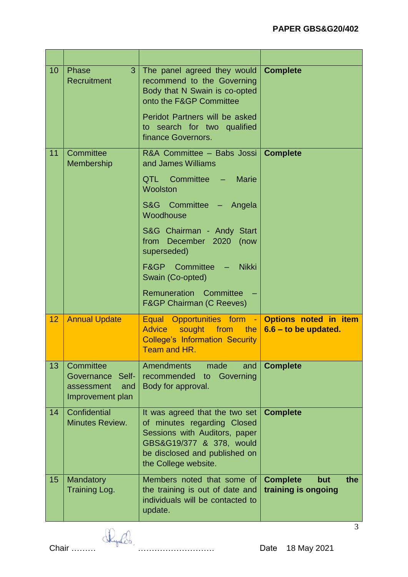| 10 | Phase<br>3<br>Recruitment                                              | The panel agreed they would<br>recommend to the Governing<br>Body that N Swain is co-opted<br>onto the F&GP Committee                                                               | <b>Complete</b>                                      |
|----|------------------------------------------------------------------------|-------------------------------------------------------------------------------------------------------------------------------------------------------------------------------------|------------------------------------------------------|
|    |                                                                        | Peridot Partners will be asked<br>to search for two qualified<br>finance Governors.                                                                                                 |                                                      |
| 11 | Committee<br>Membership                                                | R&A Committee - Babs Jossi<br>and James Williams                                                                                                                                    | <b>Complete</b>                                      |
|    |                                                                        | QTL Committee - Marie<br>Woolston                                                                                                                                                   |                                                      |
|    |                                                                        | S&G Committee - Angela<br>Woodhouse                                                                                                                                                 |                                                      |
|    |                                                                        | S&G Chairman - Andy Start<br>from December 2020 (now<br>superseded)                                                                                                                 |                                                      |
|    |                                                                        | F&GP Committee - Nikki<br>Swain (Co-opted)                                                                                                                                          |                                                      |
|    |                                                                        | Remuneration Committee<br><b>F&amp;GP Chairman (C Reeves)</b>                                                                                                                       |                                                      |
| 12 | <b>Annual Update</b>                                                   | Equal Opportunities form - Options noted in item<br><b>Advice</b><br>from<br>sought<br>the $ $<br><b>College's Information Security</b><br>Team and HR.                             | $6.6 -$ to be updated.                               |
| 13 | Committee<br>Governance Self-<br>and<br>assessment<br>Improvement plan | <b>Amendments</b><br>made<br>and<br>Governing<br>recommended<br>to<br>Body for approval.                                                                                            | <b>Complete</b>                                      |
| 14 | Confidential<br>Minutes Review.                                        | It was agreed that the two set<br>of minutes regarding Closed<br>Sessions with Auditors, paper<br>GBS&G19/377 & 378, would<br>be disclosed and published on<br>the College website. | <b>Complete</b>                                      |
| 15 | <b>Mandatory</b><br><b>Training Log.</b>                               | Members noted that some of<br>the training is out of date and<br>individuals will be contacted to<br>update.                                                                        | <b>Complete</b><br>the<br>but<br>training is ongoing |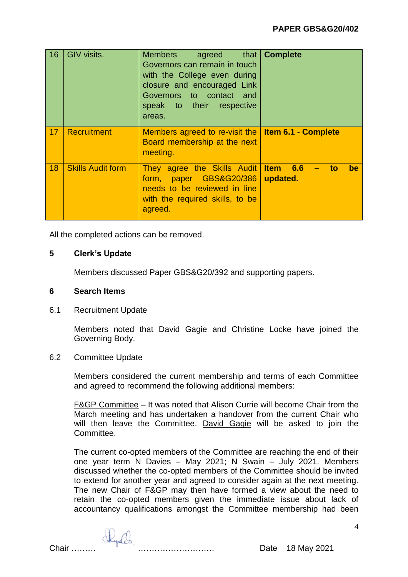| 16 | <b>GIV visits.</b>       | agreed that   Complete<br><b>Members</b><br>Governors can remain in touch<br>with the College even during<br>closure and encouraged Link<br>Governors to contact and<br>speak to their respective<br>areas. |                                  |
|----|--------------------------|-------------------------------------------------------------------------------------------------------------------------------------------------------------------------------------------------------------|----------------------------------|
| 17 | Recruitment              | Members agreed to re-visit the   Item 6.1 - Complete<br>Board membership at the next<br>meeting.                                                                                                            |                                  |
| 18 | <b>Skills Audit form</b> | They agree the Skills Audit<br>paper GBS&G20/386<br>form,<br>needs to be reviewed in line<br>with the required skills, to be<br>agreed.                                                                     | Item 6.6<br>to<br>be<br>updated. |

All the completed actions can be removed.

# **5 Clerk's Update**

Members discussed Paper GBS&G20/392 and supporting papers.

### **6 Search Items**

6.1 Recruitment Update

Members noted that David Gagie and Christine Locke have joined the Governing Body.

### 6.2 Committee Update

Members considered the current membership and terms of each Committee and agreed to recommend the following additional members:

F&GP Committee – It was noted that Alison Currie will become Chair from the March meeting and has undertaken a handover from the current Chair who will then leave the Committee. David Gagie will be asked to join the Committee.

The current co-opted members of the Committee are reaching the end of their one year term N Davies – May 2021; N Swain – July 2021. Members discussed whether the co-opted members of the Committee should be invited to extend for another year and agreed to consider again at the next meeting. The new Chair of F&GP may then have formed a view about the need to retain the co-opted members given the immediate issue about lack of accountancy qualifications amongst the Committee membership had been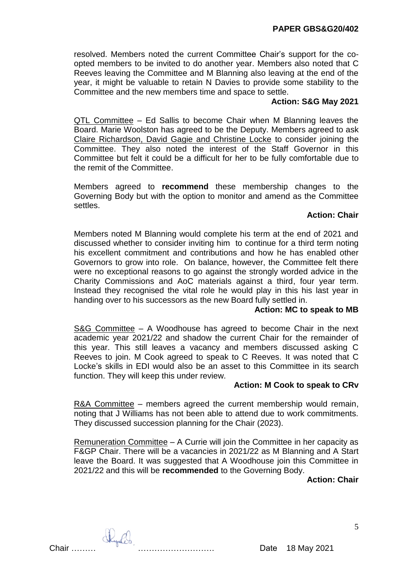resolved. Members noted the current Committee Chair's support for the coopted members to be invited to do another year. Members also noted that C Reeves leaving the Committee and M Blanning also leaving at the end of the year, it might be valuable to retain N Davies to provide some stability to the Committee and the new members time and space to settle.

# **Action: S&G May 2021**

QTL Committee – Ed Sallis to become Chair when M Blanning leaves the Board. Marie Woolston has agreed to be the Deputy. Members agreed to ask Claire Richardson, David Gagie and Christine Locke to consider joining the Committee. They also noted the interest of the Staff Governor in this Committee but felt it could be a difficult for her to be fully comfortable due to the remit of the Committee.

Members agreed to **recommend** these membership changes to the Governing Body but with the option to monitor and amend as the Committee settles.

# **Action: Chair**

Members noted M Blanning would complete his term at the end of 2021 and discussed whether to consider inviting him to continue for a third term noting his excellent commitment and contributions and how he has enabled other Governors to grow into role. On balance, however, the Committee felt there were no exceptional reasons to go against the strongly worded advice in the Charity Commissions and AoC materials against a third, four year term. Instead they recognised the vital role he would play in this his last year in handing over to his successors as the new Board fully settled in.

### **Action: MC to speak to MB**

S&G Committee - A Woodhouse has agreed to become Chair in the next academic year 2021/22 and shadow the current Chair for the remainder of this year. This still leaves a vacancy and members discussed asking C Reeves to join. M Cook agreed to speak to C Reeves. It was noted that C Locke's skills in EDI would also be an asset to this Committee in its search function. They will keep this under review.

# **Action: M Cook to speak to CRv**

R&A Committee – members agreed the current membership would remain, noting that J Williams has not been able to attend due to work commitments. They discussed succession planning for the Chair (2023).

Remuneration Committee – A Currie will join the Committee in her capacity as F&GP Chair. There will be a vacancies in 2021/22 as M Blanning and A Start leave the Board. It was suggested that A Woodhouse join this Committee in 2021/22 and this will be **recommended** to the Governing Body.

**Action: Chair**

Chair ……… ………………………. Date 18 May 2021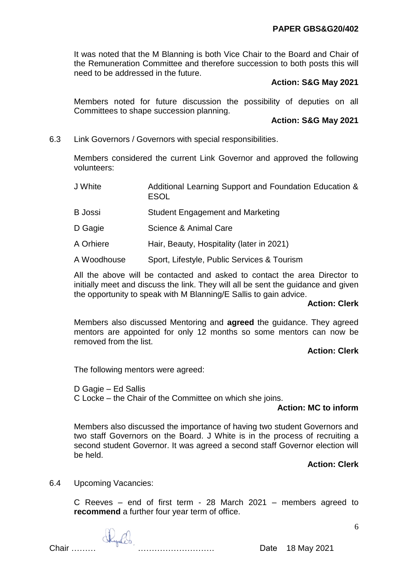It was noted that the M Blanning is both Vice Chair to the Board and Chair of the Remuneration Committee and therefore succession to both posts this will need to be addressed in the future.

# **Action: S&G May 2021**

Members noted for future discussion the possibility of deputies on all Committees to shape succession planning.

# **Action: S&G May 2021**

6.3 Link Governors / Governors with special responsibilities.

Members considered the current Link Governor and approved the following volunteers:

- J White Additional Learning Support and Foundation Education & ESOL
- B Jossi Student Engagement and Marketing
- D Gagie **Science & Animal Care**
- A Orhiere Hair, Beauty, Hospitality (later in 2021)
- A Woodhouse Sport, Lifestyle, Public Services & Tourism

All the above will be contacted and asked to contact the area Director to initially meet and discuss the link. They will all be sent the guidance and given the opportunity to speak with M Blanning/E Sallis to gain advice.

# **Action: Clerk**

Members also discussed Mentoring and **agreed** the guidance. They agreed mentors are appointed for only 12 months so some mentors can now be removed from the list.

# **Action: Clerk**

The following mentors were agreed:

D Gagie – Ed Sallis

C Locke – the Chair of the Committee on which she joins.

### **Action: MC to inform**

Members also discussed the importance of having two student Governors and two staff Governors on the Board. J White is in the process of recruiting a second student Governor. It was agreed a second staff Governor election will be held.

# **Action: Clerk**

6.4 Upcoming Vacancies:

C Reeves – end of first term - 28 March 2021 – members agreed to **recommend** a further four year term of office.

Chair ……… ………………………. Date 18 May 2021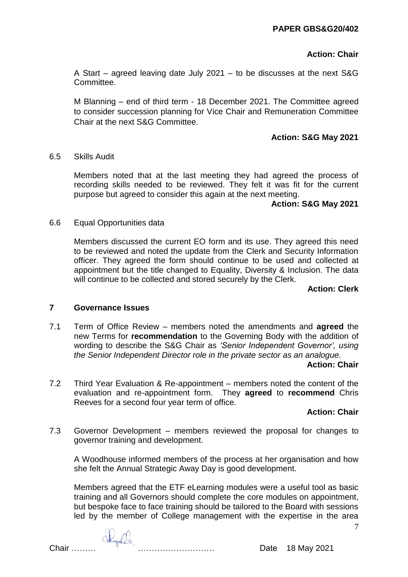# **Action: Chair**

A Start – agreed leaving date July 2021 – to be discusses at the next S&G Committee.

M Blanning – end of third term - 18 December 2021. The Committee agreed to consider succession planning for Vice Chair and Remuneration Committee Chair at the next S&G Committee.

# **Action: S&G May 2021**

## 6.5 Skills Audit

Members noted that at the last meeting they had agreed the process of recording skills needed to be reviewed. They felt it was fit for the current purpose but agreed to consider this again at the next meeting.

## **Action: S&G May 2021**

## 6.6 Equal Opportunities data

Members discussed the current EO form and its use. They agreed this need to be reviewed and noted the update from the Clerk and Security Information officer. They agreed the form should continue to be used and collected at appointment but the title changed to Equality, Diversity & Inclusion. The data will continue to be collected and stored securely by the Clerk.

# **Action: Clerk**

# **7 Governance Issues**

7.1 Term of Office Review – members noted the amendments and **agreed** the new Terms for **recommendation** to the Governing Body with the addition of wording to describe the S&G Chair as *'Senior Independent Governor', using the Senior Independent Director role in the private sector as an analogue.*

### **Action: Chair**

7.2 Third Year Evaluation & Re-appointment – members noted the content of the evaluation and re-appointment form. They **agreed** to **recommend** Chris Reeves for a second four year term of office.

# **Action: Chair**

7.3 Governor Development – members reviewed the proposal for changes to governor training and development.

A Woodhouse informed members of the process at her organisation and how she felt the Annual Strategic Away Day is good development.

Members agreed that the ETF eLearning modules were a useful tool as basic training and all Governors should complete the core modules on appointment, but bespoke face to face training should be tailored to the Board with sessions led by the member of College management with the expertise in the area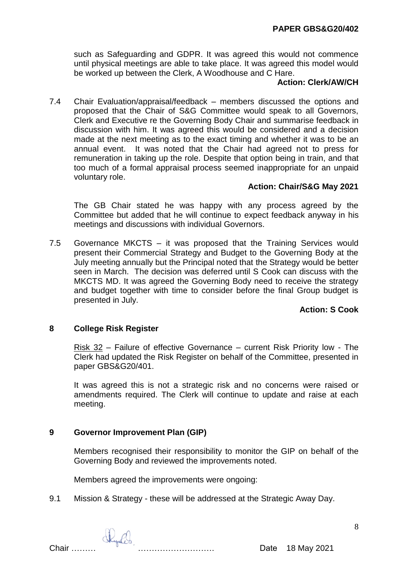such as Safeguarding and GDPR. It was agreed this would not commence until physical meetings are able to take place. It was agreed this model would be worked up between the Clerk, A Woodhouse and C Hare.

## **Action: Clerk/AW/CH**

7.4 Chair Evaluation/appraisal/feedback – members discussed the options and proposed that the Chair of S&G Committee would speak to all Governors, Clerk and Executive re the Governing Body Chair and summarise feedback in discussion with him. It was agreed this would be considered and a decision made at the next meeting as to the exact timing and whether it was to be an annual event. It was noted that the Chair had agreed not to press for remuneration in taking up the role. Despite that option being in train, and that too much of a formal appraisal process seemed inappropriate for an unpaid voluntary role.

# **Action: Chair/S&G May 2021**

The GB Chair stated he was happy with any process agreed by the Committee but added that he will continue to expect feedback anyway in his meetings and discussions with individual Governors.

7.5 Governance MKCTS – it was proposed that the Training Services would present their Commercial Strategy and Budget to the Governing Body at the July meeting annually but the Principal noted that the Strategy would be better seen in March. The decision was deferred until S Cook can discuss with the MKCTS MD. It was agreed the Governing Body need to receive the strategy and budget together with time to consider before the final Group budget is presented in July.

### **Action: S Cook**

# **8 College Risk Register**

Risk 32 – Failure of effective Governance – current Risk Priority low - The Clerk had updated the Risk Register on behalf of the Committee, presented in paper GBS&G20/401.

It was agreed this is not a strategic risk and no concerns were raised or amendments required. The Clerk will continue to update and raise at each meeting.

# **9 Governor Improvement Plan (GIP)**

Members recognised their responsibility to monitor the GIP on behalf of the Governing Body and reviewed the improvements noted.

Members agreed the improvements were ongoing:

9.1 Mission & Strategy - these will be addressed at the Strategic Away Day.